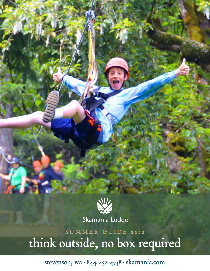

Skamania Lodge<sup>®</sup>

SUMMER GUIDE 2022 think outside, no box required

stevenson, wa • 844-432-4748 • [skamania.com](https://skamania.com)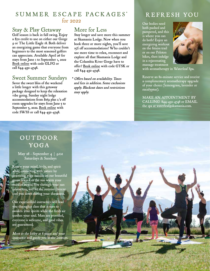## SUMMER ESCAPE PACKAGES\* for 2022

## Stay & Play Getaway

Golf season is back in full swing. Enjoy a \$70 credit to use on either our Gorge 9 or The Little Eagle 18. Both deliver an energizing game that everyone from beginners to the most seasoned golfers can appreciate. Available April 26 for stays from June 1 to September 1, 2022 [Book online](https://www.skamania.com/#/booking/step-1?promo=GLFG) with code GLFG or call 844-432-4748.

#### Sweet Summer Sundays

Savor the sweet bliss of the weekend a little longer with this getaway package designed to keep the relaxation vibe going. Sunday night lodge accommodations from \$169 plus 1/2 off room upgrades for stays from June 5 to September 5, 2022. [Book online](https://www.skamania.com/#/booking/step-1?promo=SWSS) with code SWSS or call 844-432-4748.

# More for Less

Stay longer and save more this summer at Skamania Lodge. Now when you book three or more nights, you'll save 15% off accommodations! Who couldn't use more time to relax, reconnect and explore all that Skamania Lodge and the Columbia River Gorge have to offer? [Book online](https://www.skamania.com/#/booking/step-1?promo=GTSK) with code GTSK or call 844-432-4748.

\* Offers based on availability. Taxes and fees in addition. Some exclusions apply. Blackout dates and restrictions may apply.

# REFRESH YOU

Our bodies need both pushed and pampered, and this is where you can do both! Enjoy an energizing workout on the ftness trail or on our Peloton bikes, then indulge in a rejuvenating massage treatment



with aromatherapy in Waterleaf Spa.

Reserve an 80-minute service and receive a complimentary aromatherapy upgrade of your choice (lemongrass, lavender or eucalyptus).

MAKE AN APPOINTMENT BY CALLING 844-432-4748 or EMAIL the spa at [waterleaf@skamania.com](mailto:waterleaf@skamania.com).

# OUTDOOR YOGA

May 28 - September 4 | 9AM Saturdays & Sundays

Renew your mind, body, and spirit while connecting with nature by practicing yoga outside on our beautiful green lawn. Let the sun warm your muscles as you flow through your sun salutations, and let the summer breeze cool you down during your shavasana.

Our experienced instructors will lead you through a class that is sure to awaken your spirits while the fresh air soothes your soul. Mats are provided, everyone is welcome, and good vibes are guaranteed.

Meet in the lobby at 8:50am and your instructor will guide you to the location.

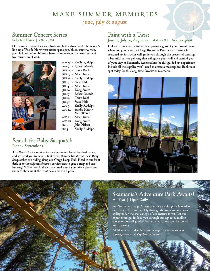# MAKE SUMMER MEMORIES june, july & august

# Summer Concert Series

#### Selected Dates | 5PM - 7PM

Our summer concert series is back and better than ever! The season's line-up of Pacifc Northwest artists spans pop, blues, country, rock, jazz, folk and more. Name a better combination than summer and live music...we'll wait.



- may 30 Shelly Rudolph J
- jun 5 Robert Meade
- jun 19 Moe Dixon jun 12 – Terry Robb
- jun 26 Shelly Rudolph
- jul 3 Steve Hale
- jul 4 Moe Dixon
- jul 10 Doug Smith
- jul 17 Robert Meade
- jul 24 Terry Robb
- jul 31 Steve Hale
- aug 7 Shelly Rudolph aug 14 – Sandra Heart/
	- **Wishflower**
- aug 21 Moe Dixon
- aug 28 Doug Smith
- sep 4 John Nilsen sep 5 – Shelly Rudolph

#### Search for Baby Sasquatch June 1 - September 5

The West Coast's most notorious big-footed friend has had babies, and we need you to help us fnd them! Rumor has it that these Baby Sasquatches are hiding along our Gorge Loop Trail. Head to our front desk or to the adjacent forestry service area to grab a map and start hunting! When you fnd each one, make sure you take a photo with them to show us at the front desk and win a prize.

# Paint with a Twist

#### June 18, July 30, August 27 | 2PM - 4PM | \$54 per guest

Unleash your inner artist while enjoying a glass of your favorite wine when you join us in the Gorge Room for Paint with a Twist. Our seasoned art instructor will guide you through the process of creating a beautiful canvas painting that will grace your wall and remind you of your stay at Skamania. Reservations for this guided art experience include all the supplies you'll need to create a masterpiece. Book your spot today for this long-time favorite at Skamania!



#### Skamania's Adventure Park Awaits! All Year | Open Daily

Join Skamania Lodge Adventures for an unforgettable outdoor experience this summer. Fly through the trees and test your agility under the cool canopy of our mature forest. Let our experienced guides lead you through our top-rated zipline course or our self-guided Aerial Park. Round out the fun with axe throwing.

All Skamania Lodge Adventures require a reservation at 509-427-0202 or at [ZipnSkamania.com.](https://ZipnSkamania.com)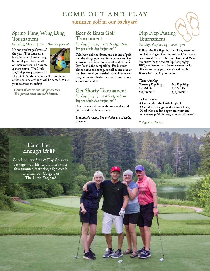# COME OUT AND PLAY summer golf in our backyard

## Spring Fling Wing Ding Tournament

Saturday, May 21 | IPM | \$40 per person\*

It's our craziest golf event of the year! This tournament has a little bit of everything. Show off your skills on all our new courses: The Gorge 9 short course, The Little Eagle 18 putting course, and



Disc Golf. All three scores will be combined at the end, and a winner will be named. Make your reservations today!

 \* Covers all course and equipment fees. Two-person team scramble format.

#### Beer & Brats Golf Tournament

Sunday, June 19 | 12PM Shotgun Start \$30 per adult, \$25 for juniors\*\*

Cold beer, delicious brats, and a round of golf – all the things you need for a perfect Sunday afternoon. Join us on Juneteenth and Father's Day for this fun competition. Fee includes either a brat or hot dog, as well as one beer or root beer. As if you needed more of an incentive, prizes will also be awarded. Reservations are recommended.

## Get Shorty Tournament

Sunday, July 17 | IPM Shotgun Start \$25 per adult, \$20 for juniors\*\*

Play the forward tees with just a wedge and putter, and maybe a beverage!

Individual scoring. Fee includes use of clubs, if needed.

## Flip Flop Putting Tournament

Sunday, August 14 | IIAM - 5PM

Pull out the fip-fops for this all-day event on our Little Eagle 18 putting course. Compete to be crowned the 2022 fip-fop champion! Win fun prizes for the coolest fip-fops, enjoy BBQ and live music. The tournament is for all ages, so bring your friends and family! Book a tee time to join the fun.

#### Ticket Pricing

| Wearing Flip-Flops |  |
|--------------------|--|
| \$30 Adults        |  |
| \$25 Juniors**     |  |

No Flip-Flops \$30 Adults \$35 Adults \$25 Juniors\*\* \$30 Juniors\*\*

Ticket includes:

- One round on the Little Eagle 18
- One raffe entry (prize drawings all day)
- Meal with one hot dog or bratwurst and
- one beverage (draft beer, wine or soft drink)

\*\* Age 12 and under

#### Can't Get Enough Golf?

Check out our Stay & Play Getaway package available for a limited time this summer, featuring a \$70 credit for either our Gorge 9 or The Little Eagle 18!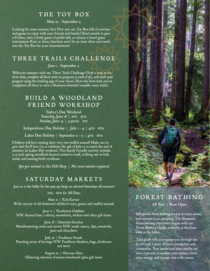#### THE TOY BOX

May 27 - September 5

Looking for some summer fun? Dive into our Toy Box full of activities and games to enjoy with your friends and family! Head outside to pass a Frisbee, start a lively game of pickle ball, or initiate a board game into the Toy Box for your entertainment! tournament. Rain or shine, boredom won't be an issue when you reach

#### THREE TRAILS CHALLENGE

June 1 - September 5

Welcome summer with our Three Trails Challenge! Grab a map at the front desk, complete all three trails on property (a total of 5k), and track your progress using the tracking app of your choice. Show the front desk you've completed all three to earn a Skamania-branded reusable water bottle.

# BUILD A WOODLAND FRIEND WORKSHOP

Saturday, June 18 | 2PM 5PM Sunday, June 19 | 9:30AM 1PM Father's Day Weekend

- Independence Day Holiday | July 1 - 4 | 4pm 6pm

Labor Day Holiday | September 2 - 5 | 4PM 6PM

 Children will love creating their very own stuffed animal! Make one to give dad (he'll love it), to celebrate the 4th of July or to mark the end of summer on Labor Day weekend. This family friendly activity includes a 15-inch spring woodland themed animal to stuff, wishing star to hide inside and naming birth certifcate.

 $$30$  per animal in the Gift Shop | No reservations required

#### SATURDAY MARKETS

Join us in the lobby for fun pop-up shops on selected Saturdays all summer!

 $IPM - 6PM$  for All Dates

May 21 | Kids Korner Wide variety of old-fashioned children's toys, games and stuffed animals

June 11 | Northwest Outftter NW themed hats, t-shirts, sweatshirts, stickers and other gift items

June 18 | Gourmet Goodies Mouthwatering sweet and savory NW-made sauces, dips, mustards, jams and chocolates

July 16 | Pendleton Parade Dazzling array of heritage NW Pendleton blankets, bags, drinkware and more

> August 20 | Glorious Glass Glittering selection of artisan handmade glass gift items



# FOREST BATHING

All Year | Now Open

Self-guided forest bathing is a joy in every season, and summer is no exception. The Skamania forest bathing experience begins with our Forest Bathing Guide, available at the front desk in the lobby.

This guide will accompany you through the forest with a sense of focus, tranquility and connection. Your intentional time amidst our trees is proven to awaken your senses, renew your energy and connect you with nature.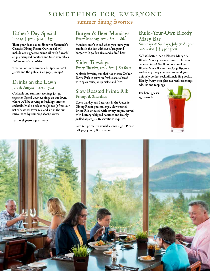# SOMETHING FOR EVERYONE summer dining favorites

#### Father's Day Special June 19 |  $5PM - 9PM$  \$37

Treat your dear dad to dinner in Skamania's Cascade Dining Room. Our special will include our signature prime rib with favorful au jus, whipped potatoes and fresh vegetables. Full menu also available.

Reservations recommended. Open to hotel guests and the public. Call 509-427-2508.

#### Drinks on the Lawn July & August | 4pm - 7pm

Cocktails and summer evenings just go together. Spend your evenings on our lawn, where we'll be serving refreshing summer cocktails. Make a selection (or two!) from our list of seasonal favorites, and sip in the sun surrounded by stunning Gorge views.

For hotel guests age 21+ only.

# Burger & Beer Mondays

 $|$  \$37 Every Monday, 2PM - 8PM Every Monday, 2pm - 8pm | \$18

> Mondays aren't so bad when you know you can finish the day with our 1/3rd pound burger with golden fries and a draft beer!

# Slider Tuesdays

#### Every Tuesday, 2pm - 8pm | \$12 for 2

A classic favorite, our chef has chosen Carlton Farms Pork to serve on fresh ciabatta bread with spicy sauce, crisp pickle and fries.

## Slow Roasted Prime Rib Fridays & Saturdays

 Dining Room you can enjoy slow roasted Ĭ Every Friday and Saturday in the Cascade Prime Rib drizzled with savory au jus, served with buttery whipped potatoes and freshly grilled asparagus. Reservations required.

 call 509-427-2508 to reserve. Limited prime rib available each night. Please

#### Build-Your-Own Bloody Mary Bar

Saturdays & Sundays, July & August  $9AM - IPM$  | \$15 per guest

What's better than a Bloody Mary? A Bloody Mary you can customize to your personal taste! You'll fnd our weekend Bloody Mary Bar in the Gorge Room – with everything you need to build your uniquely perfect cocktail, including vodka, Bloody Mary mix plus assorted seasonings, add-ins and toppings.

For hotel guests age 21+ only.



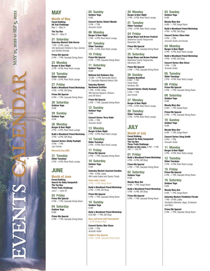# MAY 21, 2022 to SEP 5, 2022 EVENTS CALENDAR MAY 21, 2022 to SEP 5, 2022

#### **MAY**

**Month of May**

**Forest Bathing 5K Trail Challenge**  May 1 – May 31

**The Toy Box**  May 27 – May 31

**21 Saturday Saturday Market: Kids Korner**  1 PM – 6 PM, Lobby Old-fashioned Children's Toys, Games and Stuffed Animals

**Prime Rib Special**  5 PM – 7 PM, Cascade Dining Room

**23 Monday Burger & Beer Night**  2 PM – 8 PM, River Rock Lounge

**24 Tuesday Slider Tuesdays**  2 PM – 8 PM, River Rock Lounge

**27 Friday Build a Woodland Friend Workshop**  4 PM – 6 PM, Gift Shop

**Prime Rib Special**  5 PM – 7 PM, Cascade Dining Room

**28 Saturday Outdoor Yoga**  9 AM

**29 Sunday Outdoor Yoga**  9 AM

**30 Monday Burger & Beer Night**  2 PM – 8 PM, River Rock Lounge

**Build a Woodland Friend Workshop**  4 PM – 6 PM, Gift Shop

**Concert Series: Shelly Rudolph**  5 PM – 7 PM Jazz Vocals

#### **Memorial Day BBQ**

**31 Tuesday Slider Tuesdays**  2 PM – 8 PM, River Rock Lounge

#### **JUNE**

**Month of June Forest Bathing Search for Baby Sasquatch The Toy Box Three Trails Challenge**  June 1 – June 30

**03 Friday Prime Rib Special**  5 PM – 7 PM, Cascade Dining Room

**04 Saturday Outdoor Yoga**  Q AM

**Prime Rib Special**  5 PM – 7 PM, Cascade Dining Room **05 Sunday Outdoor Yoga**  9 AM

**Concert Series: Robert Meade**  5 PM – 7 PM Acoustic Guitar

**06 Monday Burger & Beer Night**  2 PM – 8 PM, River Rock Lounge

**07 Tuesday Slider Tuesdays**  2 PM – 8 PM, River Rock Lounge

**10 Friday Prime Rib Special**  5 PM – 7 PM, Cascade Dining Room

**11 Saturday Outdoor Yoga**  9 AM

**National Get Outdoors Day**  10 AM – 2 PM, Bonneville Dam's Ft. Cascades National Historic Site

 **Saturday Market:**  NW-themed Apparel, Stickers **Northwest Outfitter** 1 PM – 6 PM, Lobby and Gift Items

**Prime Rib Special**  5 PM – 7 PM, Cascade Dining Room

**12 Sunday Outdoor Yoga**  9 AM

**Concert Series: Terry Robb**  5 PM – 7 PM Acoustic Guitar

**13 Monday Burger & Beer Night**  2 PM – 8 PM, River Rock Lounge

**14 Tuesday Slider Tuesdays**  2 PM – 8 PM, River Rock Lounge

**17 Friday Prime Rib Special**  5 PM – 7 PM, Cascade Dining Room

**18 Saturday Outdoor Yoga**  9 AM

**Saturday Market: Gourmet Goodies**  1 PM – 6 PM, Lobby NW-made Sweet and Savory Treats

**Paint with a Twist**  2 PM – 4 PM, Gorge Room

**Build a Woodland Friend Workshop**  2 PM – 5 PM, Gift Shop

**Prime Rib Special**  5 PM – 7 PM, Cascade Dining Room

**19 Sunday Outdoor Yoga**  9 AM

**Build a Woodland Friend Workshop**  9:30 AM – 1 PM, Gift Shop

**Beer and Brats Golf Tournament**  12 PM Shotgun Start

**Concert Series: Moe Dixon**  5 PM – 7 PM Acoustic Guitar

**Father's Day Special**  5 PM – 9 PM, Cascade Dining Room

**20 Monday Burger & Beer Night**  2 PM – 8 PM, River Rock Lounge

**21 Tuesday Slider Tuesdays**  2 PM – 8 PM, River Rock Lounge

**24 Friday Gorge Blues and Brews Festival**  Skamania County Fairgrounds Stevenson, WA

**Prime Rib Special**  5 PM – 7 PM, Cascade Dining Room

**25 Saturday Gorge Blues and Brews Festival**  Skamania County Fairgrounds Stevenson, WA

**Prime Rib Special**  5 PM – 7 PM, Cascade Dining Room

**26 Sunday Cowboy Breakfast**  8 AM – 1 PM Camp Howe Hemlock, WA

**Concert Series: Shelly Rudolph**  5 PM – 7 PM Jazz Vocals

**27 Monday Burger & Beer Night**  2 PM – 8 PM, River Rock Lounge

**28 Tuesday Slider Tuesdays**  2 PM – 8 PM, River Rock Lounge

#### **JULY**

#### **Month of July**

**Forest Bathing Search for Baby Sasquatch The Toy Box Three Trails Challenge Drinks on the Lawn,** 4 PM – 7 PM<br>July 1 – July 30

 4 PM – 6 PM, Gift Shop **01 Friday Build a Woodland Friend Workshop** 

**Prime Rib Special**  5 PM – 7 PM, Cascade Dining Room

**02 Saturday Outdoor Yoga**  9 AM

**Bloody Mary Bar**  9 AM – 1 PM, Gorge Room

**Build a Woodland Friend Workshop**  4 PM – 6 PM, Gift Shop

**Prime Rib Special**  5 PM – 7 PM, Cascade Dining Room **03 Sunday Outdoor Yoga**  9 AM

**Bloody Mary Bar**  9 AM – 1 PM, Gorge Room

**Build a Woodland Friend Workshop**   $4 PM - 6 PM$ , Gift Shop

**Concert Series: Steve Hale**  5 PM – 7 PM Acoustic Guitar and Vocals

**04 Monday Burger & Beer Night**  2 PM – 8 PM, River Rock Lounge

**Build a Woodland Friend Workshop**  4 PM – 6 PM, Gift Shop

**Concert Series: Moe Dixon**  5 PM – 7 PM Acoustic Guitar

**05 Tuesday Slider Tuesdays**  2 PM – 8 PM, River Rock Lounge

**08 Friday Prime Rib Special**  5 PM – 7 PM, Cascade Dining Room

**09 Saturday Outdoor Yoga**  9 AM

**Bloody Mary Bar**  9 AM – 1 PM, Gorge Room

**Prime Rib Special**  5 PM – 7 PM, Cascade Dining Room

**10 Sunday Outdoor Yoga**  9 AM

**Bloody Mary Bar**  9 AM – 1 PM, Gorge Room

**Concert Series: Doug Smith**  5 PM – 7 PM Acoustic Guitar

**11 Monday Burger & Beer Night**  2 PM – 8 PM, River Rock Lounge

**12 Tuesday Slider Tuesdays**  2 PM – 8 PM, River Rock Lounge

**15 Friday Prime Rib Special**  5 PM – 7 PM, Cascade Dining Room

**16 Saturday Outdoor Yoga**  9 AM

**Bloody Mary Bar**  9 AM – 1 PM, Gorge Room

**Saturday Market: Pendleton Parade**  1 PM – 6 PM, Lobby Pendleton Blankets, Bags, Drinkware and More

**Prime Rib Special**  5 PM – 7 PM, Cascade Dining Room